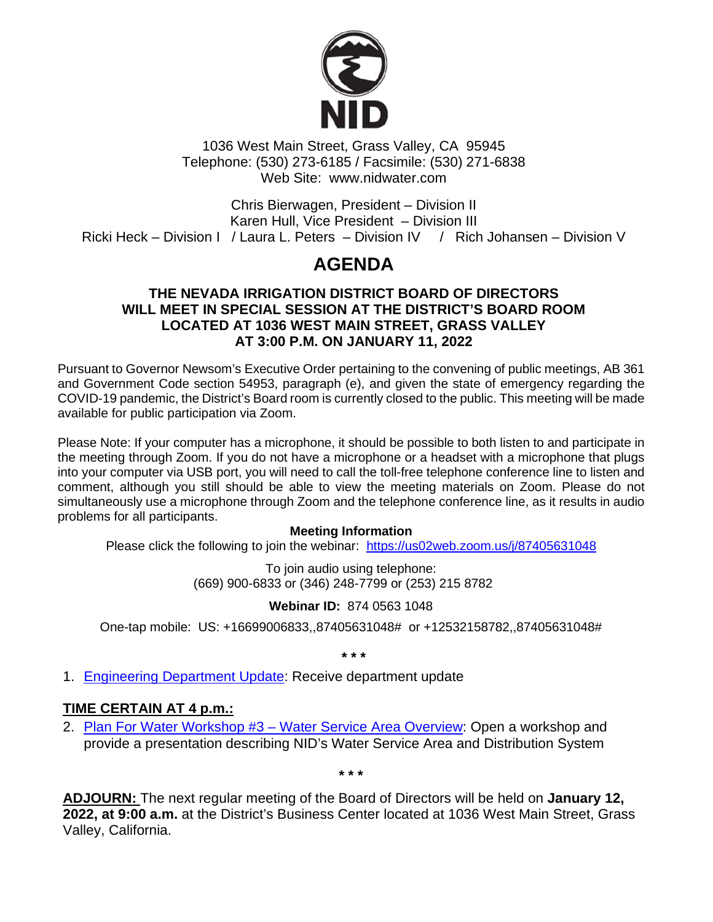

1036 West Main Street, Grass Valley, CA 95945 Telephone: (530) 273-6185 / Facsimile: (530) 271-6838 Web Site: www.nidwater.com

Chris Bierwagen, President – Division II Karen Hull, Vice President – Division III Ricki Heck – Division I / Laura L. Peters – Division IV / Rich Johansen – Division V

# **AGENDA**

#### **THE NEVADA IRRIGATION DISTRICT BOARD OF DIRECTORS WILL MEET IN SPECIAL SESSION AT THE DISTRICT'S BOARD ROOM LOCATED AT 1036 WEST MAIN STREET, GRASS VALLEY AT 3:00 P.M. ON JANUARY 11, 2022**

Pursuant to Governor Newsom's Executive Order pertaining to the convening of public meetings, AB 361 and Government Code section 54953, paragraph (e), and given the state of emergency regarding the COVID-19 pandemic, the District's Board room is currently closed to the public. This meeting will be made available for public participation via Zoom.

Please Note: If your computer has a microphone, it should be possible to both listen to and participate in the meeting through Zoom. If you do not have a microphone or a headset with a microphone that plugs into your computer via USB port, you will need to call the toll-free telephone conference line to listen and comment, although you still should be able to view the meeting materials on Zoom. Please do not simultaneously use a microphone through Zoom and the telephone conference line, as it results in audio problems for all participants.

#### **Meeting Information**

Please click the following to join the webinar: <https://us02web.zoom.us/j/87405631048>

To join audio using telephone: (669) 900-6833 or (346) 248-7799 or (253) 215 8782

## **Webinar ID:** 874 0563 1048

One-tap mobile: US: +16699006833,,87405631048# or +12532158782,,87405631048#

**\* \* \***

1. Engineering [Department Update:](https://www.nidwater.com/files/ba2594dd3/01112022_BOD_Item_1.pdf) Receive department update

## **TIME CERTAIN AT 4 p.m.:**

2. Plan For Water Workshop #3 - Water Service Area Overview: Open a workshop and provide a presentation describing NID's Water Service Area and Distribution System

**\* \* \***

**ADJOURN:** The next regular meeting of the Board of Directors will be held on **January 12, 2022, at 9:00 a.m.** at the District's Business Center located at 1036 West Main Street, Grass Valley, California.